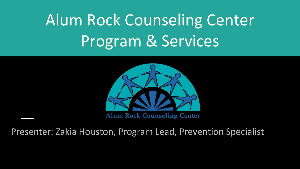# Alum Rock Counseling Center Program & Services



Presenter: Zakia Houston, Program Lead, Prevention Specialist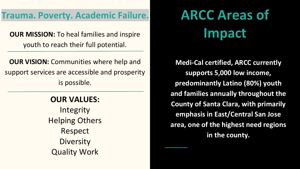#### **Trauma. Poverty. Academic Failure.**

**OUR MISSION:** To heal families and inspire **Impact** youth to reach their full potential.

**OUR VISION: Communities where help and** support services are accessible and prosperity is possible.

#### **OUR VALUES:**

Integrity Helping Others Respect **Diversity** Quality Work

# **ARCC Areas of**

**Medi-Cal certified, ARCC currently supports 5,000 low income, predominantly Latino (80%) youth and families annually throughout the County of Santa Clara, with primarily emphasis in East/Central San Jose area, one of the highest need regions in the county.**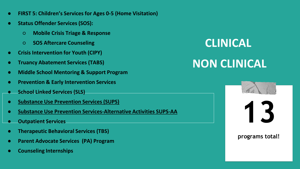- **FIRST 5: Children's Services for Ages 0-5 (Home Visitation)**
- **Status Offender Services (SOS):**
	- **Mobile Crisis Triage & Response**
	- **SOS Aftercare Counseling**
- **Crisis Intervention for Youth (CIPY)**
- **Truancy Abatement Services (TABS)**
- **Middle School Mentoring & Support Program**
- **Prevention & Early Intervention Services**
- **School Linked Services (SLS)**
- **Substance Use Prevention Services (SUPS)**
- **Substance Use Prevention Services-Alternative Activities SUPS-AA**
- **Outpatient Services**
- **Therapeutic Behavioral Services (TBS)**
- **Parent Advocate Services (PA) Program**
- **Counseling Internships**

#### **CLINICAL**

## **NON CLINICAL**



#### **programs total!**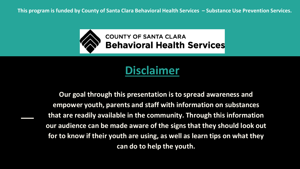**This program is funded by County of Santa Clara Behavioral Health Services – Substance Use Prevention Services.**



## **Disclaimer**

**Our goal through this presentation is to spread awareness and empower youth, parents and staff with information on substances that are readily available in the community. Through this information our audience can be made aware of the signs that they should look out for to know if their youth are using, as well as learn tips on what they can do to help the youth.**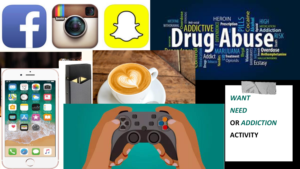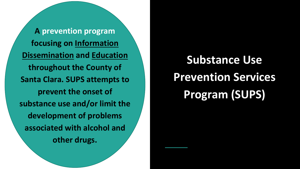**A prevention program focusing on Information Dissemination and Education throughout the County of Santa Clara. SUPS attempts to prevent the onset of substance use and/or limit the development of problems associated with alcohol and other drugs.**

**Substance Use Prevention Services Program (SUPS)**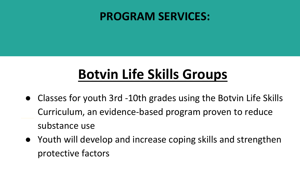#### **PROGRAM SERVICES:**

## **Botvin Life Skills Groups**

- Classes for youth 3rd -10th grades using the Botvin Life Skills Curriculum, an evidence-based program proven to reduce substance use
- Youth will develop and increase coping skills and strengthen protective factors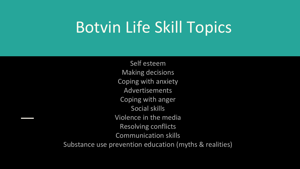# Botvin Life Skill Topics

Self esteem Making decisions Coping with anxiety Advertisements Coping with anger Social skills Violence in the media Resolving conflicts Communication skills Substance use prevention education (myths & realities)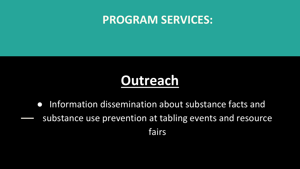#### **PROGRAM SERVICES:**

## **Outreach**

- Information dissemination about substance facts and
- substance use prevention at tabling events and resource **fairs**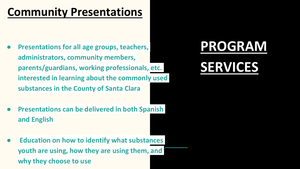## **Community Presentations**

- **Presentations for all age groups, teachers, administrators, community members, parents/guardians, working professionals, etc. interested in learning about the commonly used substances in the County of Santa Clara**
- **Presentations can be delivered in both Spanish and English**
- **Education on how to identify what substances youth are using, how they are using them, and why they choose to use**

## **PROGRAM**

## **SERVICES**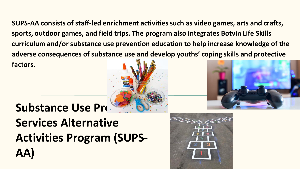**SUPS-AA consists of staff-led enrichment activities such as video games, arts and crafts, sports, outdoor games, and field trips. The program also integrates Botvin Life Skills curriculum and/or substance use prevention education to help increase knowledge of the adverse consequences of substance use and develop youths' coping skills and protective factors.**

## **Substance Use Pre-Services Alternative Activities Program (SUPS-AA)**